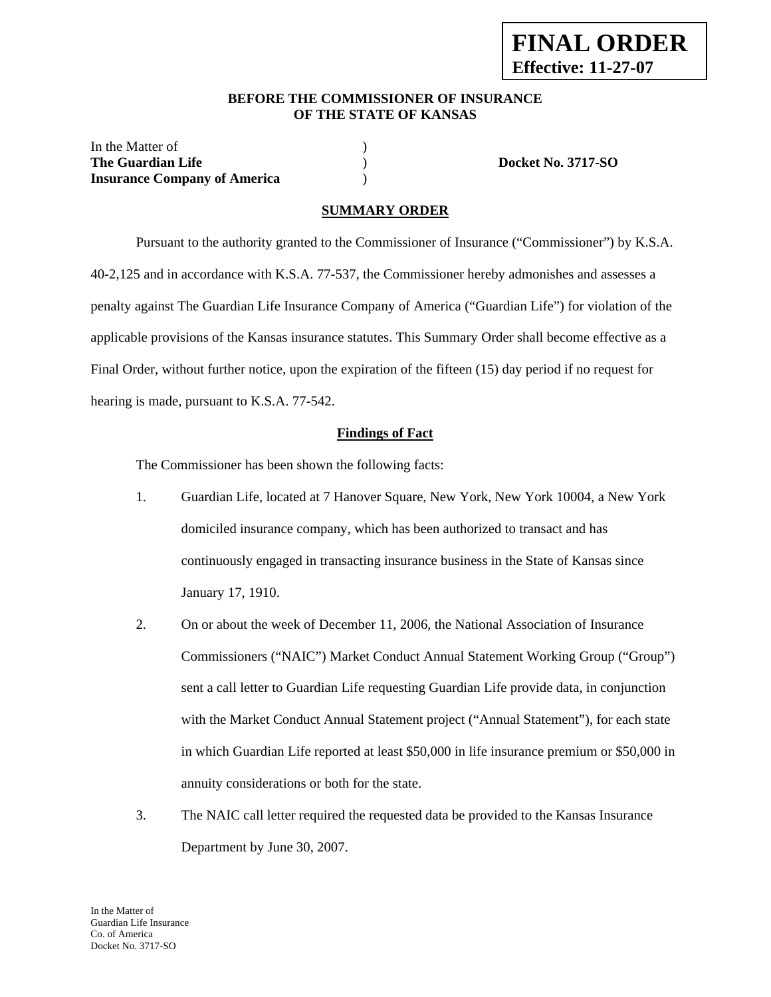#### **BEFORE THE COMMISSIONER OF INSURANCE OF THE STATE OF KANSAS**

| In the Matter of                    |                           |
|-------------------------------------|---------------------------|
| The Guardian Life                   | <b>Docket No. 3717-SO</b> |
| <b>Insurance Company of America</b> |                           |

### **SUMMARY ORDER**

 Pursuant to the authority granted to the Commissioner of Insurance ("Commissioner") by K.S.A. 40-2,125 and in accordance with K.S.A. 77-537, the Commissioner hereby admonishes and assesses a penalty against The Guardian Life Insurance Company of America ("Guardian Life") for violation of the applicable provisions of the Kansas insurance statutes. This Summary Order shall become effective as a Final Order, without further notice, upon the expiration of the fifteen (15) day period if no request for hearing is made, pursuant to K.S.A. 77-542.

#### **Findings of Fact**

The Commissioner has been shown the following facts:

- 1. Guardian Life, located at 7 Hanover Square, New York, New York 10004, a New York domiciled insurance company, which has been authorized to transact and has continuously engaged in transacting insurance business in the State of Kansas since January 17, 1910.
- 2. On or about the week of December 11, 2006, the National Association of Insurance Commissioners ("NAIC") Market Conduct Annual Statement Working Group ("Group") sent a call letter to Guardian Life requesting Guardian Life provide data, in conjunction with the Market Conduct Annual Statement project ("Annual Statement"), for each state in which Guardian Life reported at least \$50,000 in life insurance premium or \$50,000 in annuity considerations or both for the state.
- 3. The NAIC call letter required the requested data be provided to the Kansas Insurance Department by June 30, 2007.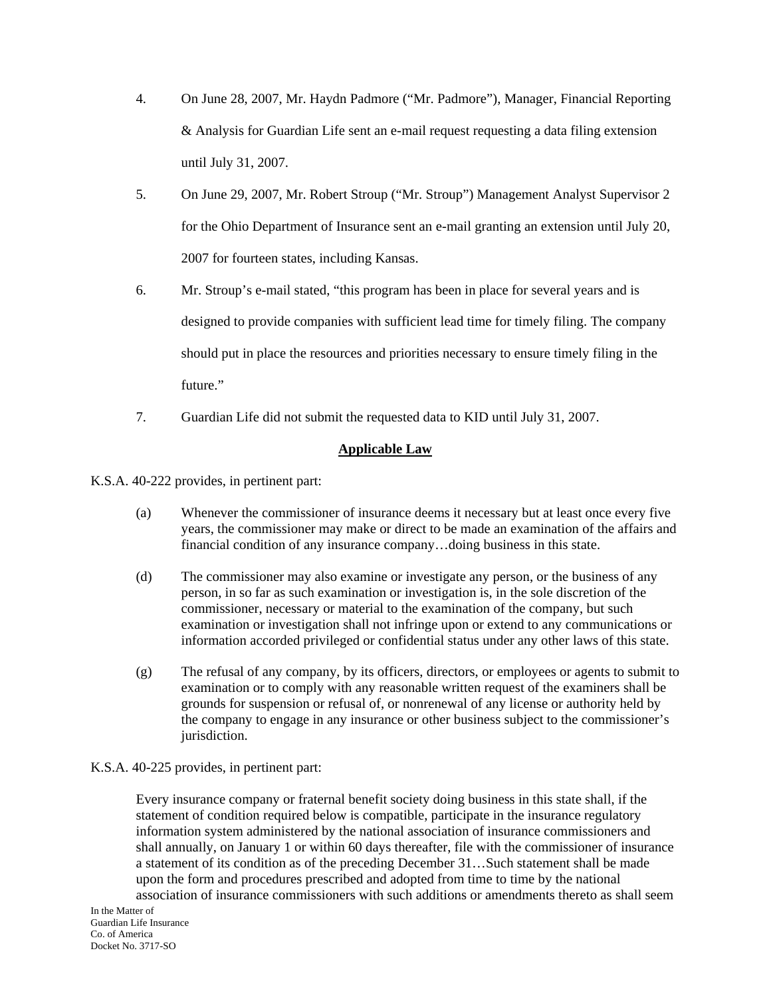- 4. On June 28, 2007, Mr. Haydn Padmore ("Mr. Padmore"), Manager, Financial Reporting & Analysis for Guardian Life sent an e-mail request requesting a data filing extension until July 31, 2007.
- 5. On June 29, 2007, Mr. Robert Stroup ("Mr. Stroup") Management Analyst Supervisor 2 for the Ohio Department of Insurance sent an e-mail granting an extension until July 20, 2007 for fourteen states, including Kansas.
- 6. Mr. Stroup's e-mail stated, "this program has been in place for several years and is designed to provide companies with sufficient lead time for timely filing. The company should put in place the resources and priorities necessary to ensure timely filing in the future."
- 7. Guardian Life did not submit the requested data to KID until July 31, 2007.

### **Applicable Law**

K.S.A. 40-222 provides, in pertinent part:

- (a) Whenever the commissioner of insurance deems it necessary but at least once every five years, the commissioner may make or direct to be made an examination of the affairs and financial condition of any insurance company…doing business in this state.
- (d) The commissioner may also examine or investigate any person, or the business of any person, in so far as such examination or investigation is, in the sole discretion of the commissioner, necessary or material to the examination of the company, but such examination or investigation shall not infringe upon or extend to any communications or information accorded privileged or confidential status under any other laws of this state.
- (g) The refusal of any company, by its officers, directors, or employees or agents to submit to examination or to comply with any reasonable written request of the examiners shall be grounds for suspension or refusal of, or nonrenewal of any license or authority held by the company to engage in any insurance or other business subject to the commissioner's jurisdiction.

### K.S.A. 40-225 provides, in pertinent part:

Every insurance company or fraternal benefit society doing business in this state shall, if the statement of condition required below is compatible, participate in the insurance regulatory information system administered by the national association of insurance commissioners and shall annually, on January 1 or within 60 days thereafter, file with the commissioner of insurance a statement of its condition as of the preceding December 31…Such statement shall be made upon the form and procedures prescribed and adopted from time to time by the national association of insurance commissioners with such additions or amendments thereto as shall seem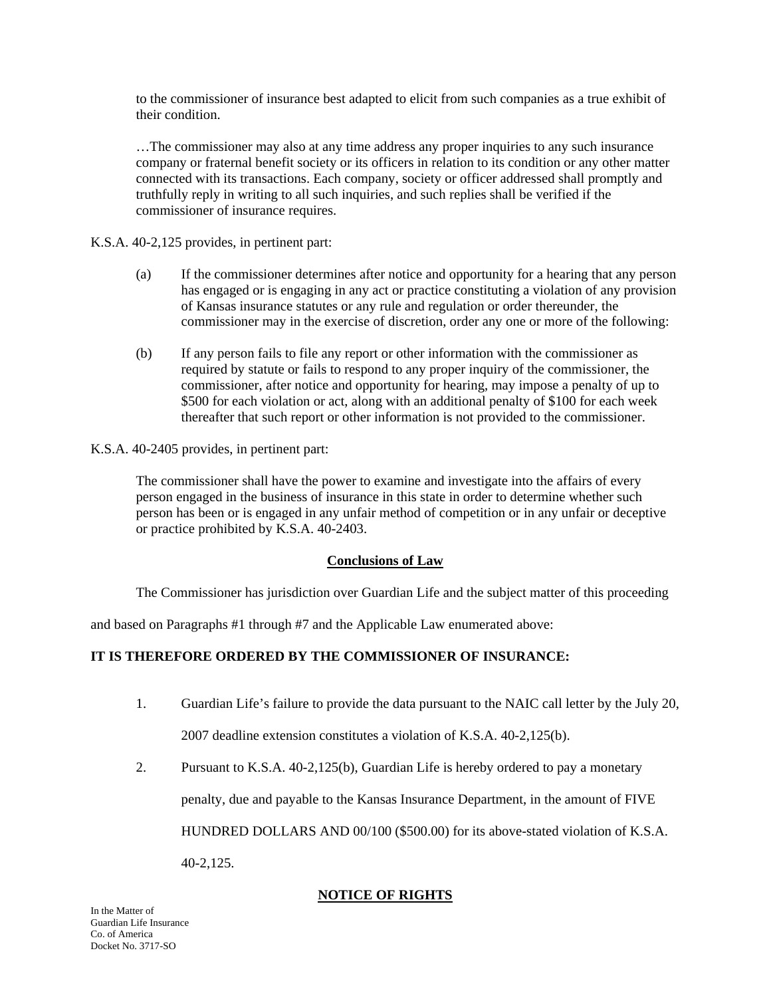to the commissioner of insurance best adapted to elicit from such companies as a true exhibit of their condition.

…The commissioner may also at any time address any proper inquiries to any such insurance company or fraternal benefit society or its officers in relation to its condition or any other matter connected with its transactions. Each company, society or officer addressed shall promptly and truthfully reply in writing to all such inquiries, and such replies shall be verified if the commissioner of insurance requires.

K.S.A. 40-2,125 provides, in pertinent part:

- (a) If the commissioner determines after notice and opportunity for a hearing that any person has engaged or is engaging in any act or practice constituting a violation of any provision of Kansas insurance statutes or any rule and regulation or order thereunder, the commissioner may in the exercise of discretion, order any one or more of the following:
- (b) If any person fails to file any report or other information with the commissioner as required by statute or fails to respond to any proper inquiry of the commissioner, the commissioner, after notice and opportunity for hearing, may impose a penalty of up to \$500 for each violation or act, along with an additional penalty of \$100 for each week thereafter that such report or other information is not provided to the commissioner.

K.S.A. 40-2405 provides, in pertinent part:

The commissioner shall have the power to examine and investigate into the affairs of every person engaged in the business of insurance in this state in order to determine whether such person has been or is engaged in any unfair method of competition or in any unfair or deceptive or practice prohibited by K.S.A. 40-2403.

## **Conclusions of Law**

The Commissioner has jurisdiction over Guardian Life and the subject matter of this proceeding

and based on Paragraphs #1 through #7 and the Applicable Law enumerated above:

## **IT IS THEREFORE ORDERED BY THE COMMISSIONER OF INSURANCE:**

- 1. Guardian Life's failure to provide the data pursuant to the NAIC call letter by the July 20, 2007 deadline extension constitutes a violation of K.S.A. 40-2,125(b).
- 2. Pursuant to K.S.A. 40-2,125(b), Guardian Life is hereby ordered to pay a monetary

penalty, due and payable to the Kansas Insurance Department, in the amount of FIVE

HUNDRED DOLLARS AND 00/100 (\$500.00) for its above-stated violation of K.S.A.

40-2,125.

## **NOTICE OF RIGHTS**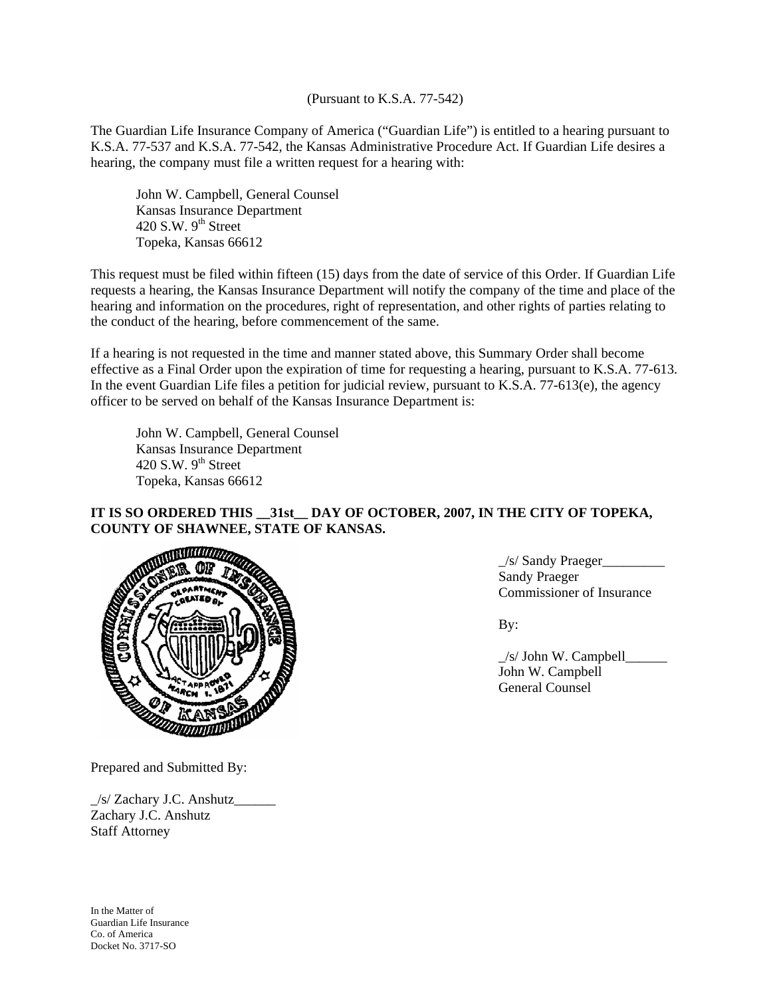(Pursuant to K.S.A. 77-542)

The Guardian Life Insurance Company of America ("Guardian Life") is entitled to a hearing pursuant to K.S.A. 77-537 and K.S.A. 77-542, the Kansas Administrative Procedure Act. If Guardian Life desires a hearing, the company must file a written request for a hearing with:

 John W. Campbell, General Counsel Kansas Insurance Department 420 S.W.  $9<sup>th</sup>$  Street Topeka, Kansas 66612

This request must be filed within fifteen (15) days from the date of service of this Order. If Guardian Life requests a hearing, the Kansas Insurance Department will notify the company of the time and place of the hearing and information on the procedures, right of representation, and other rights of parties relating to the conduct of the hearing, before commencement of the same.

If a hearing is not requested in the time and manner stated above, this Summary Order shall become effective as a Final Order upon the expiration of time for requesting a hearing, pursuant to K.S.A. 77-613. In the event Guardian Life files a petition for judicial review, pursuant to K.S.A. 77-613(e), the agency officer to be served on behalf of the Kansas Insurance Department is:

 John W. Campbell, General Counsel Kansas Insurance Department 420 S.W.  $9<sup>th</sup>$  Street Topeka, Kansas 66612

# **IT IS SO ORDERED THIS \_\_31st\_\_ DAY OF OCTOBER, 2007, IN THE CITY OF TOPEKA, COUNTY OF SHAWNEE, STATE OF KANSAS.**



\_/s/ Sandy Praeger\_\_\_\_\_\_\_\_\_ Sandy Praeger Commissioner of Insurance

 \_/s/ John W. Campbell\_\_\_\_\_\_ John W. Campbell General Counsel

Prepared and Submitted By:

 $\frac{1}{s}$  Zachary J.C. Anshutz Zachary J.C. Anshutz Staff Attorney

In the Matter of Guardian Life Insurance Co. of America Docket No. 3717-SO